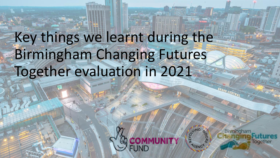# Key things we learnt during the Birmingham Changing Futures Together evaluation in 2021



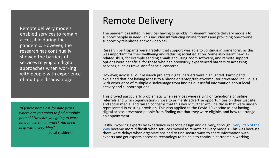Remote delivery models enabled services to remain accessible during the pandemic. However, the research has continually showed the barriers of services relying on digital approaches when working with people with experience of multiple disadvantage.

*"If you're homeless for nine years, where are you going to find a mobile phone?! How are you going to learn how to use the internet? You need help with everything"*  (Local resident)

## Remote Delivery

The pandemic resulted in services having to quickly implement remote delivery models to support people in need. This included introducing online forums and providing one-to-one support by telephone and/or video call.

Research participants were grateful that support was able to continue in some form, as this was important for their wellbeing and reducing social isolation. Some also learnt new ITrelated skills, for example sending emails and using Zoom software, and remote support options were beneficial for those who had previously experienced barriers to accessing services, such as travel and financial concerns.

However, across all our research projects digital barriers were highlighted. Participants explained that not having access to a phone or laptop/tablet/computer prevented individuals with experience of multiple disadvantage from finding out useful information about local activity and support options.

This proved particularly problematic when services were relying on telephone or online referrals and when organisations chose to primarily advertise opportunities on their website and social media: and raised concerns that this would further exclude those that were underrepresented in existing provision. This also applied to the Covid-19 vaccine as not having digital access prevented people from finding out that they were eligible, and how to arrange an appointment.

[Lastly, involving experts by experience in service design and delivery, through Every Step of the](https://changingfuturesbham.co.uk/services/every-step-of-the-way) Way became more difficult when services moved to remote delivery models. This was because there were delays when organisations had to find secure ways to share information with experts and get experts access to technology to be able to continue partnership working.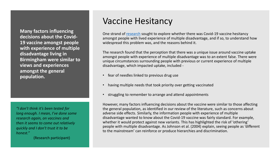**Many factors influencing decisions about the Covid-19 vaccine amongst people with experience of multiple disadvantage living in Birmingham were similar to views and experiences amongst the general population.**

*"I don't think it's been tested for long enough. I mean, I've done some research again, on vaccines and then it seems to come out relatively quickly and I don't trust it to be honest."* 

(Research participant)

#### Vaccine Hesitancy

One strand of [research](https://changingfuturesbham.co.uk/wp-content/uploads/2021/11/Vaccine-uptake-report-1511.pdf) sought to explore whether there was Covid-19 vaccine hesitancy amongst people with lived experience of multiple disadvantage, and if so, to understand how widespread this problem was, and the reasons behind it.

The research found that the perception that there was a unique issue around vaccine uptake amongst people with experience of multiple disadvantage was to an extent false. There were unique circumstances surrounding people with previous or current experience of multiple disadvantage, which impacted uptake, included -

- fear of needles linked to previous drug use
- having multiple needs that took priority over getting vaccinated
- struggling to remember to arrange and attend appointments

However, many factors influencing decisions about the vaccine were similar to those affecting the general population, as identified in our review of the literature, such as concerns about adverse side effects. Similarly, the information people with experience of multiple disadvantage wanted to know about the Covid-19 vaccine was fairly standard. For example, whether it would protect against new variants. This has highlighted the risk of 'othering' people with multiple disadvantage. As Johnson et al. (2004) explain, seeing people as 'different to the mainstream' can reinforce or produce hierarchies and discrimination.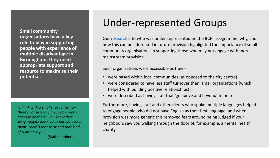**Small community organisations have a key role to play in supporting people with experience of multiple disadvantage in Birmingham, they need appropriate support and resource to maximise their potential.** 

*"I think with a smaller organisation there's consistency, they know who's going to be there…you know their story. Maybe not always but you know them. There's that trust and that kind of relationship…"* 

(Staff member)

## Under-represented Groups

Our [research](https://changingfuturesbham.co.uk/wp-content/uploads/2022/01/Under-represented-Groups-Research-Report-.pdf) into who was under-represented on the BCFT programme, why, and how this can be addressed in future provision highlighted the importance of small community organisations in supporting those who may not engage with more mainstream provision.

Such organisations were accessible as they -

- were based within local communities (as opposed to the city centre)
- were considered to have less staff turnover than larger organisations (which helped with building positive relationships)
- were described as having staff that 'go above and beyond' to help

Furthermore, having staff and other clients who spoke multiple languages helped to engage people who did not have English as their first language, and when provision was more generic this removed fears around being judged if your neighbours saw you walking through the door of, for example, a mental health charity.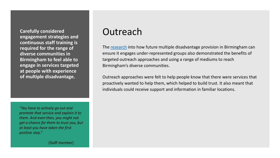**Carefully considered engagement strategies and continuous staff training is required for the range of diverse communities in Birmingham to feel able to engage in services targeted at people with experience of multiple disadvantage.** 

*"You have to actively go out and promote that service and explain it to them. And even then, you might not get a chance for them to trust you, but at least you have taken the first positive step."* 

#### Outreach

The [research](https://changingfuturesbham.co.uk/wp-content/uploads/2022/01/Under-represented-Groups-Research-Report-.pdf) into how future multiple disadvantage provision in Birmingham can ensure it engages under-represented groups also demonstrated the benefits of targeted outreach approaches and using a range of mediums to reach Birmingham's diverse communities.

Outreach approaches were felt to help people know that there were services that proactively wanted to help them, which helped to build trust. It also meant that individuals could receive support and information in familiar locations.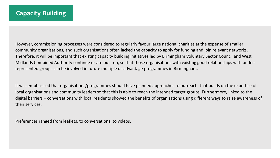However, commissioning processes were considered to regularly favour large national charities at the expense of smaller community organisations, and such organisations often lacked the capacity to apply for funding and join relevant networks. Therefore, it will be important that existing capacity building initiatives led by Birmingham Voluntary Sector Council and West Midlands Combined Authority continue or are built on, so that those organisations with existing good relationships with underrepresented groups can be involved in future multiple disadvantage programmes in Birmingham.

It was emphasised that organisations/programmes should have planned approaches to outreach, that builds on the expertise of local organisations and community leaders so that this is able to reach the intended target groups. Furthermore, linked to the digital barriers – conversations with local residents showed the benefits of organisations using different ways to raise awareness of their services.

Preferences ranged from leaflets, to conversations, to videos.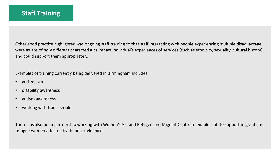Other good practice highlighted was ongoing staff training so that staff interacting with people experiencing multiple disadvantage were aware of how different characteristics impact individual's experiences of services (such as ethnicity, sexuality, cultural history) and could support them appropriately.

Examples of training currently being delivered in Birmingham includes

- anti-racism
- disability awareness
- autism awareness
- working with trans people

There has also been partnership working with Women's Aid and Refugee and Migrant Centre to enable staff to support migrant and refugee women affected by domestic violence.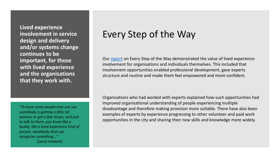**Lived experience involvement in service design and delivery and/or systems change continues to be important, for those with lived experience and the organisations that they work with.**

*"To have some people that can see somebody is getting a little bit anxious or got a few issues, and just to talk to them, you know like a buddy, like a lived experience kind of person, somebody that can recognise something…"*  (Local resident)

# Every Step of the Way

Our [report](https://changingfuturesbham.co.uk/wp-content/uploads/2021/07/ESOW-Reseach-Findings-2021.pdf) on Every Step of the Way demonstrated the value of lived experience involvement for organisations and individuals themselves. This included that involvement opportunities enabled professional development, gave experts structure and routine and made them feel empowered and more confident.

Organisations who had worked with experts explained how such opportunities had improved organisational understanding of people experiencing multiple disadvantage and therefore making provision more suitable. There have also been examples of experts by experience progressing to other volunteer and paid work opportunities in the city and sharing their new skills and knowledge more widely.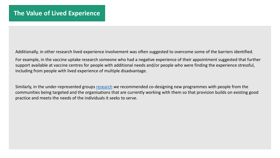Additionally, in other research lived experience involvement was often suggested to overcome some of the barriers identified.

For example, in the vaccine uptake research someone who had a negative experience of their appointment suggested that further support available at vaccine centres for people with additional needs and/or people who were finding the experience stressful, including from people with lived experience of multiple disadvantage.

Similarly, in the under-represented groups [research](https://changingfuturesbham.co.uk/wp-content/uploads/2022/01/Under-represented-Groups-Research-Report-.pdf) we recommended co-designing new programmes with people from the communities being targeted and the organisations that are currently working with them so that provision builds on existing good practice and meets the needs of the individuals it seeks to serve.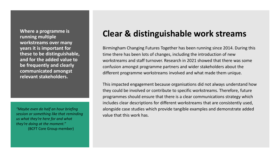**Where a programme is running multiple workstreams over many years it is important for these to be distinguishable, and for the added value to be frequently and clearly communicated amongst relevant stakeholders.**

*"Maybe even do half an hour briefing session or something like that reminding us what they're here for and what they're doing at the moment."*  (BCFT Core Group member)

#### **Clear & distinguishable work streams**

Birmingham Changing Futures Together has been running since 2014. During this time there has been lots of changes, including the introduction of new workstreams and staff turnover. Research in 2021 showed that there was some confusion amongst programme partners and wider stakeholders about the different programme workstreams involved and what made them unique.

This impacted engagement because organisations did not always understand how they could be involved or contribute to specific workstreams. Therefore, future programmes should ensure that there is a clear communications strategy which includes clear descriptions for different workstreams that are consistently used, alongside case studies which provide tangible examples and demonstrate added value that this work has.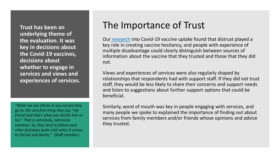**Trust has been an underlying theme of the evaluation. It was key in decisions about the Covid-19 vaccines, decisions about whether to engage in services and views and experiences of services.**

*"When we see clients or any service they go to, the very first thing they say, "my friend said that's what you did for him or her". That is extremely, extremely common. So, they tend to follow each other footsteps quite a bit when it comes to friends and family."* (Staff member)

### The Importance of Trust

Our [research](https://changingfuturesbham.co.uk/wp-content/uploads/2021/11/Vaccine-uptake-report-1511.pdf) into Covid-19 vaccine uptake found that distrust played a key role in creating vaccine hesitancy, and people with experience of multiple disadvantage could clearly distinguish between sources of information about the vaccine that they trusted and those that they did not.

Views and experiences of services were also regularly shaped by relationships that respondents had with support staff. If they did not trust staff, they would be less likely to share their concerns and support needs and listen to suggestions about further support options that could be beneficial.

Similarly, word of mouth was key in people engaging with services, and many people we spoke to explained the importance of finding out about services from family members and/or friends whose opinions and advice they trusted.